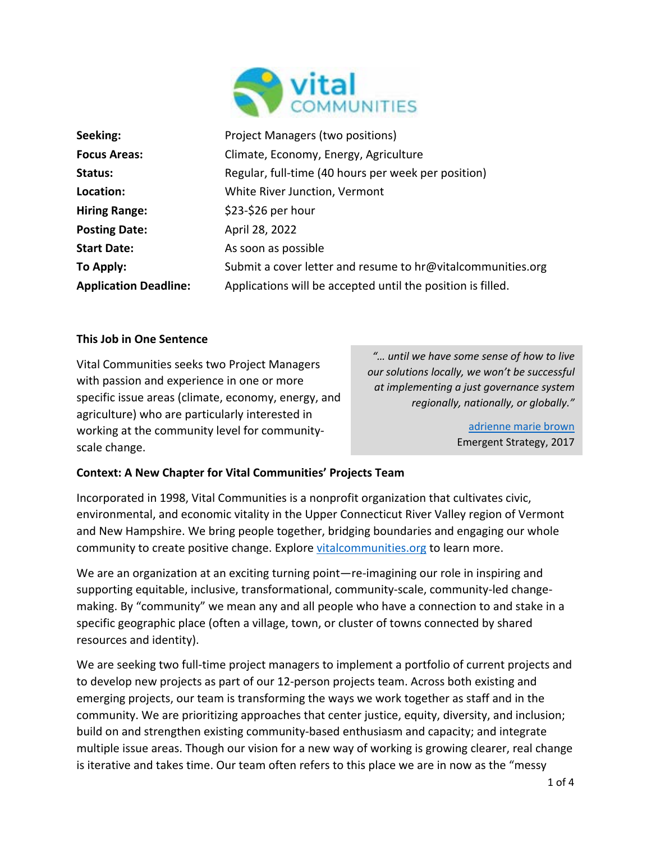

| Seeking:                     | Project Managers (two positions)                            |
|------------------------------|-------------------------------------------------------------|
| <b>Focus Areas:</b>          | Climate, Economy, Energy, Agriculture                       |
| Status:                      | Regular, full-time (40 hours per week per position)         |
| Location:                    | White River Junction, Vermont                               |
| <b>Hiring Range:</b>         | \$23-\$26 per hour                                          |
| <b>Posting Date:</b>         | April 28, 2022                                              |
| <b>Start Date:</b>           | As soon as possible                                         |
| To Apply:                    | Submit a cover letter and resume to hr@vitalcommunities.org |
| <b>Application Deadline:</b> | Applications will be accepted until the position is filled. |

## **This Job in One Sentence**

Vital Communities seeks two Project Managers with passion and experience in one or more specific issue areas (climate, economy, energy, and agriculture) who are particularly interested in working at the community level for communityscale change.

*"… until we have some sense of how to live our solutions locally, we won't be successful at implementing a just governance system regionally, nationally, or globally."*

> [adrienne marie brown](https://adriennemareebrown.net/) Emergent Strategy, 2017

## **Context: A New Chapter for Vital Communities' Projects Team**

Incorporated in 1998, Vital Communities is a nonprofit organization that cultivates civic, environmental, and economic vitality in the Upper Connecticut River Valley region of Vermont and New Hampshire. We bring people together, bridging boundaries and engaging our whole community to create positive change. Explore [vitalcommunities.org](http://www.vitalcommunities.org/) to learn more.

We are an organization at an exciting turning point—re-imagining our role in inspiring and supporting equitable, inclusive, transformational, community-scale, community-led changemaking. By "community" we mean any and all people who have a connection to and stake in a specific geographic place (often a village, town, or cluster of towns connected by shared resources and identity).

We are seeking two full-time project managers to implement a portfolio of current projects and to develop new projects as part of our 12-person projects team. Across both existing and emerging projects, our team is transforming the ways we work together as staff and in the community. We are prioritizing approaches that center justice, equity, diversity, and inclusion; build on and strengthen existing community-based enthusiasm and capacity; and integrate multiple issue areas. Though our vision for a new way of working is growing clearer, real change is iterative and takes time. Our team often refers to this place we are in now as the "messy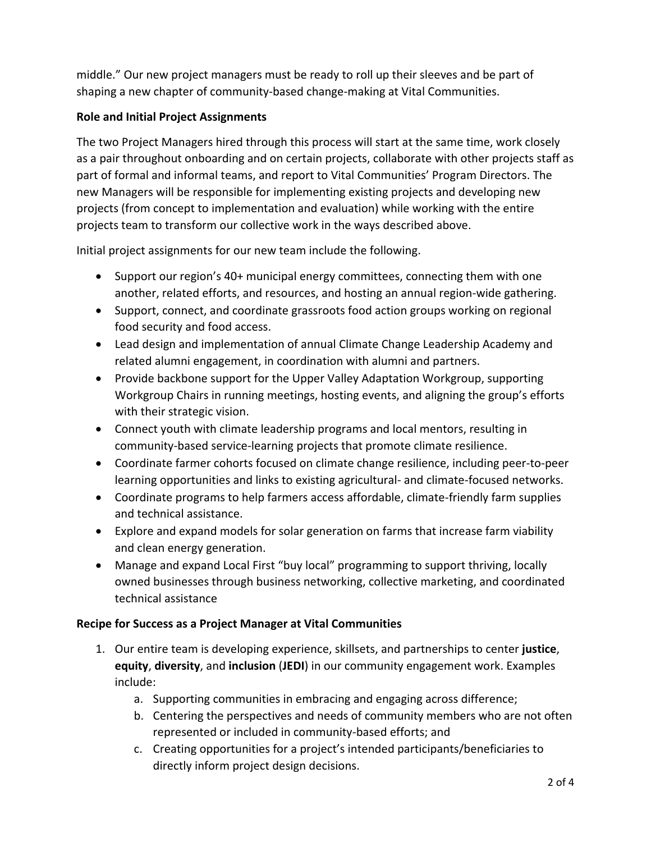middle." Our new project managers must be ready to roll up their sleeves and be part of shaping a new chapter of community-based change-making at Vital Communities.

# **Role and Initial Project Assignments**

The two Project Managers hired through this process will start at the same time, work closely as a pair throughout onboarding and on certain projects, collaborate with other projects staff as part of formal and informal teams, and report to Vital Communities' Program Directors. The new Managers will be responsible for implementing existing projects and developing new projects (from concept to implementation and evaluation) while working with the entire projects team to transform our collective work in the ways described above.

Initial project assignments for our new team include the following.

- Support our region's 40+ municipal energy committees, connecting them with one another, related efforts, and resources, and hosting an annual region-wide gathering.
- Support, connect, and coordinate grassroots food action groups working on regional food security and food access.
- Lead design and implementation of annual Climate Change Leadership Academy and related alumni engagement, in coordination with alumni and partners.
- Provide backbone support for the Upper Valley Adaptation Workgroup, supporting Workgroup Chairs in running meetings, hosting events, and aligning the group's efforts with their strategic vision.
- Connect youth with climate leadership programs and local mentors, resulting in community-based service-learning projects that promote climate resilience.
- Coordinate farmer cohorts focused on climate change resilience, including peer-to-peer learning opportunities and links to existing agricultural- and climate-focused networks.
- Coordinate programs to help farmers access affordable, climate-friendly farm supplies and technical assistance.
- Explore and expand models for solar generation on farms that increase farm viability and clean energy generation.
- Manage and expand Local First "buy local" programming to support thriving, locally owned businesses through business networking, collective marketing, and coordinated technical assistance

# **Recipe for Success as a Project Manager at Vital Communities**

- 1. Our entire team is developing experience, skillsets, and partnerships to center **justice**, **equity**, **diversity**, and **inclusion** (**JEDI**) in our community engagement work. Examples include:
	- a. Supporting communities in embracing and engaging across difference;
	- b. Centering the perspectives and needs of community members who are not often represented or included in community-based efforts; and
	- c. Creating opportunities for a project's intended participants/beneficiaries to directly inform project design decisions.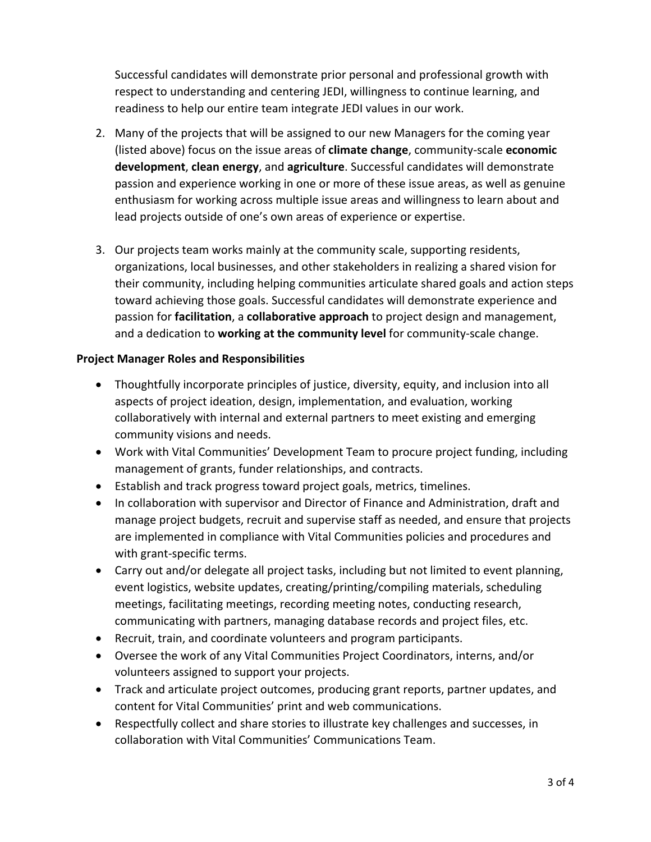Successful candidates will demonstrate prior personal and professional growth with respect to understanding and centering JEDI, willingness to continue learning, and readiness to help our entire team integrate JEDI values in our work.

- 2. Many of the projects that will be assigned to our new Managers for the coming year (listed above) focus on the issue areas of **climate change**, community-scale **economic development**, **clean energy**, and **agriculture**. Successful candidates will demonstrate passion and experience working in one or more of these issue areas, as well as genuine enthusiasm for working across multiple issue areas and willingness to learn about and lead projects outside of one's own areas of experience or expertise.
- 3. Our projects team works mainly at the community scale, supporting residents, organizations, local businesses, and other stakeholders in realizing a shared vision for their community, including helping communities articulate shared goals and action steps toward achieving those goals. Successful candidates will demonstrate experience and passion for **facilitation**, a **collaborative approach** to project design and management, and a dedication to **working at the community level** for community-scale change.

# **Project Manager Roles and Responsibilities**

- Thoughtfully incorporate principles of justice, diversity, equity, and inclusion into all aspects of project ideation, design, implementation, and evaluation, working collaboratively with internal and external partners to meet existing and emerging community visions and needs.
- Work with Vital Communities' Development Team to procure project funding, including management of grants, funder relationships, and contracts.
- Establish and track progress toward project goals, metrics, timelines.
- In collaboration with supervisor and Director of Finance and Administration, draft and manage project budgets, recruit and supervise staff as needed, and ensure that projects are implemented in compliance with Vital Communities policies and procedures and with grant-specific terms.
- Carry out and/or delegate all project tasks, including but not limited to event planning, event logistics, website updates, creating/printing/compiling materials, scheduling meetings, facilitating meetings, recording meeting notes, conducting research, communicating with partners, managing database records and project files, etc.
- Recruit, train, and coordinate volunteers and program participants.
- Oversee the work of any Vital Communities Project Coordinators, interns, and/or volunteers assigned to support your projects.
- Track and articulate project outcomes, producing grant reports, partner updates, and content for Vital Communities' print and web communications.
- Respectfully collect and share stories to illustrate key challenges and successes, in collaboration with Vital Communities' Communications Team.